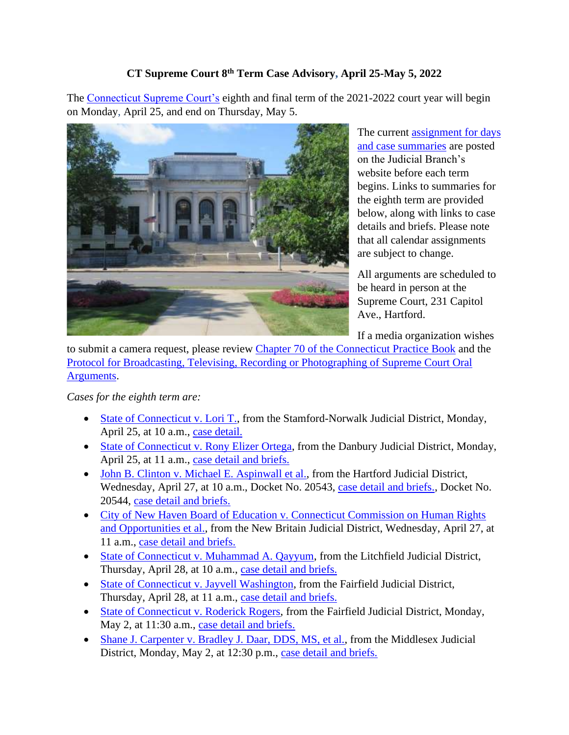## **CT Supreme Court 8th Term Case Advisory, April 25-May 5, 2022**

The [Connecticut Supreme Court's](https://jud.ct.gov/supremecourt/) eighth and final term of the 2021-2022 court year will begin on Monday, April 25, and end on Thursday, May 5.



The current assignment for days [and case summaries](https://www.jud.ct.gov/external/supapp/sup_assign.htm) are posted on the Judicial Branch's website before each term begins. Links to summaries for the eighth term are provided below, along with links to case details and briefs. Please note that all calendar assignments are subject to change.

All arguments are scheduled to be heard in person at the Supreme Court, 231 Capitol Ave., Hartford.

If a media organization wishes

to submit a camera request, please review [Chapter 70 of the Connecticut Practice Book](https://www.jud.ct.gov/pb.htm) and the [Protocol for Broadcasting, Televising, Recording or Photographing of Supreme Court Oral](https://www.jud.ct.gov/external/supapp/protocol_sup_oral_argu.htm)  [Arguments.](https://www.jud.ct.gov/external/supapp/protocol_sup_oral_argu.htm)

*Cases for the eighth term are:*

- [State of Connecticut v. Lori T.,](https://jud.ct.gov/external/supapp/summaries/docket/20520.htm) from the Stamford-Norwalk Judicial District, Monday, April 25, at 10 a.m., [case detail.](https://appellateinquiry.jud.ct.gov/CaseDetail.aspx?CRN=74319&Type=AppealNo)
- [State of Connecticut v. Rony Elizer Ortega,](https://jud.ct.gov/external/supapp/summaries/docket/20235.htm) from the Danbury Judicial District, Monday, April 25, at 11 a.m., [case detail and briefs.](https://appellateinquiry.jud.ct.gov/CaseDetail.aspx?CRN=60314&Type=AppealNo)
- [John B. Clinton v. Michael E. Aspinwall et al.,](https://jud.ct.gov/external/supapp/summaries/docket/20543-20544.htm) from the Hartford Judicial District, Wednesday, April 27, at 10 a.m., Docket No. 20543, [case detail and briefs.,](https://appellateinquiry.jud.ct.gov/CaseDetail.aspx?CRN=74556&Type=AppealNo) Docket No. 20544, [case detail and briefs.](https://appellateinquiry.jud.ct.gov/CaseDetail.aspx?CRN=74566&Type=AppealNo)
- [City of New Haven Board of Education v. Connecticut Commission on Human Rights](https://jud.ct.gov/external/supapp/summaries/docket/20696.htm)  [and Opportunities et al.,](https://jud.ct.gov/external/supapp/summaries/docket/20696.htm) from the New Britain Judicial District, Wednesday, April 27, at 11 a.m., [case detail and briefs.](https://appellateinquiry.jud.ct.gov/CaseDetail.aspx?CRN=76834&Type=AppealNo)
- [State of Connecticut v. Muhammad A. Qayyum,](https://jud.ct.gov/external/supapp/summaries/docket/20552.htm) from the Litchfield Judicial District, Thursday, April 28, at 10 a.m., [case detail and briefs.](https://appellateinquiry.jud.ct.gov/CaseDetail.aspx?CRN=74710&Type=AppealNo)
- [State of Connecticut v. Jayvell Washington,](https://jud.ct.gov/external/supapp/summaries/docket/20495.htm) from the Fairfield Judicial District, Thursday, April 28, at 11 a.m., [case detail and briefs.](https://appellateinquiry.jud.ct.gov/CaseDetail.aspx?CRN=74135&Type=AppealNo)
- [State of Connecticut v. Roderick Rogers,](https://jud.ct.gov/external/supapp/summaries/docket/20469.htm) from the Fairfield Judicial District, Monday, May 2, at 11:30 a.m., [case detail and briefs.](https://appellateinquiry.jud.ct.gov/CaseDetail.aspx?CRN=73576&Type=AppealNo)
- [Shane J. Carpenter v. Bradley J. Daar, DDS, MS, et al.,](https://jud.ct.gov/external/supapp/summaries/docket/20524.htm) from the Middlesex Judicial District, Monday, May 2, at 12:30 p.m., [case detail and briefs.](https://appellateinquiry.jud.ct.gov/CaseDetail.aspx?CRN=74358&Type=AppealNo)